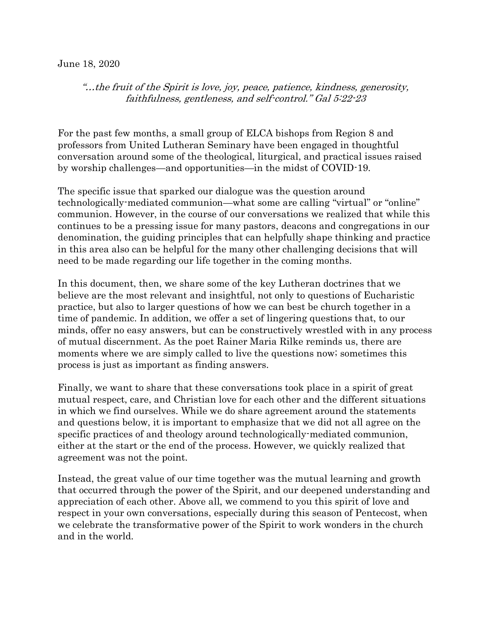## June 18, 2020

## "…the fruit of the Spirit is love, joy, peace, patience, kindness, generosity, faithfulness, gentleness, and self-control." Gal 5:22-23

For the past few months, a small group of ELCA bishops from Region 8 and professors from United Lutheran Seminary have been engaged in thoughtful conversation around some of the theological, liturgical, and practical issues raised by worship challenges—and opportunities—in the midst of COVID-19.

The specific issue that sparked our dialogue was the question around technologically-mediated communion—what some are calling "virtual" or "online" communion. However, in the course of our conversations we realized that while this continues to be a pressing issue for many pastors, deacons and congregations in our denomination, the guiding principles that can helpfully shape thinking and practice in this area also can be helpful for the many other challenging decisions that will need to be made regarding our life together in the coming months.

In this document, then, we share some of the key Lutheran doctrines that we believe are the most relevant and insightful, not only to questions of Eucharistic practice, but also to larger questions of how we can best be church together in a time of pandemic. In addition, we offer a set of lingering questions that, to our minds, offer no easy answers, but can be constructively wrestled with in any process of mutual discernment. As the poet Rainer Maria Rilke reminds us, there are moments where we are simply called to live the questions now; sometimes this process is just as important as finding answers.

Finally, we want to share that these conversations took place in a spirit of great mutual respect, care, and Christian love for each other and the different situations in which we find ourselves. While we do share agreement around the statements and questions below, it is important to emphasize that we did not all agree on the specific practices of and theology around technologically-mediated communion, either at the start or the end of the process. However, we quickly realized that agreement was not the point.

Instead, the great value of our time together was the mutual learning and growth that occurred through the power of the Spirit, and our deepened understanding and appreciation of each other. Above all, we commend to you this spirit of love and respect in your own conversations, especially during this season of Pentecost, when we celebrate the transformative power of the Spirit to work wonders in the church and in the world.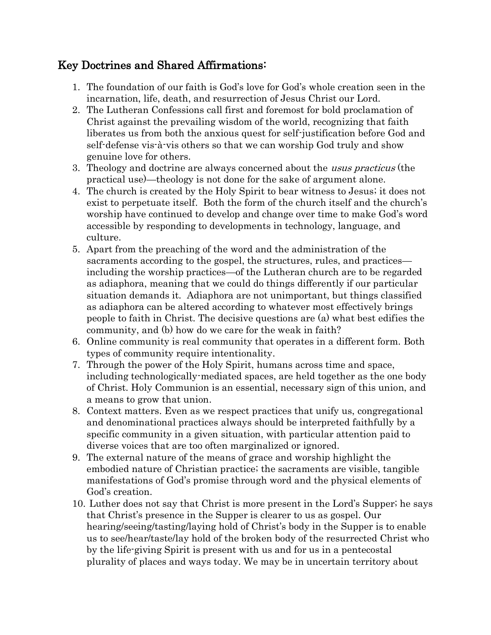## Key Doctrines and Shared Affirmations:

- 1. The foundation of our faith is God's love for God's whole creation seen in the incarnation, life, death, and resurrection of Jesus Christ our Lord.
- 2. The Lutheran Confessions call first and foremost for bold proclamation of Christ against the prevailing wisdom of the world, recognizing that faith liberates us from both the anxious quest for self-justification before God and self-defense vis-à-vis others so that we can worship God truly and show genuine love for others.
- 3. Theology and doctrine are always concerned about the *usus practicus* (the practical use)—theology is not done for the sake of argument alone.
- 4. The church is created by the Holy Spirit to bear witness to Jesus; it does not exist to perpetuate itself. Both the form of the church itself and the church's worship have continued to develop and change over time to make God's word accessible by responding to developments in technology, language, and culture.
- 5. Apart from the preaching of the word and the administration of the sacraments according to the gospel, the structures, rules, and practices including the worship practices—of the Lutheran church are to be regarded as adiaphora, meaning that we could do things differently if our particular situation demands it. Adiaphora are not unimportant, but things classified as adiaphora can be altered according to whatever most effectively brings people to faith in Christ. The decisive questions are (a) what best edifies the community, and (b) how do we care for the weak in faith?
- 6. Online community is real community that operates in a different form. Both types of community require intentionality.
- 7. Through the power of the Holy Spirit, humans across time and space, including technologically-mediated spaces, are held together as the one body of Christ. Holy Communion is an essential, necessary sign of this union, and a means to grow that union.
- 8. Context matters. Even as we respect practices that unify us, congregational and denominational practices always should be interpreted faithfully by a specific community in a given situation, with particular attention paid to diverse voices that are too often marginalized or ignored.
- 9. The external nature of the means of grace and worship highlight the embodied nature of Christian practice; the sacraments are visible, tangible manifestations of God's promise through word and the physical elements of God's creation.
- 10. Luther does not say that Christ is more present in the Lord's Supper; he says that Christ's presence in the Supper is clearer to us as gospel. Our hearing/seeing/tasting/laying hold of Christ's body in the Supper is to enable us to see/hear/taste/lay hold of the broken body of the resurrected Christ who by the life-giving Spirit is present with us and for us in a pentecostal plurality of places and ways today. We may be in uncertain territory about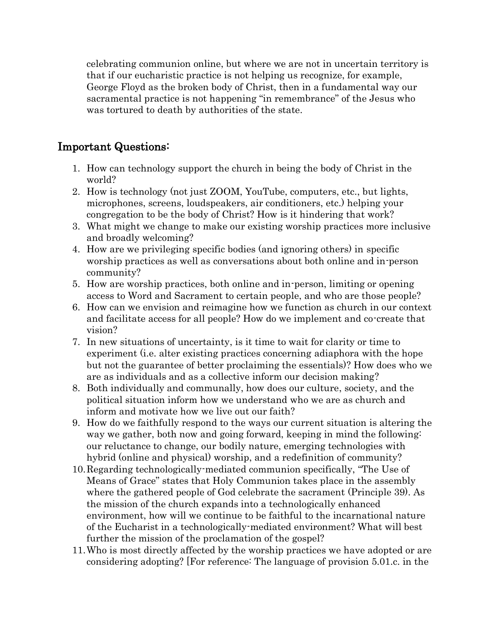celebrating communion online, but where we are not in uncertain territory is that if our eucharistic practice is not helping us recognize, for example, George Floyd as the broken body of Christ, then in a fundamental way our sacramental practice is not happening "in remembrance" of the Jesus who was tortured to death by authorities of the state.

## Important Questions:

- 1. How can technology support the church in being the body of Christ in the world?
- 2. How is technology (not just ZOOM, YouTube, computers, etc., but lights, microphones, screens, loudspeakers, air conditioners, etc.) helping your congregation to be the body of Christ? How is it hindering that work?
- 3. What might we change to make our existing worship practices more inclusive and broadly welcoming?
- 4. How are we privileging specific bodies (and ignoring others) in specific worship practices as well as conversations about both online and in-person community?
- 5. How are worship practices, both online and in-person, limiting or opening access to Word and Sacrament to certain people, and who are those people?
- 6. How can we envision and reimagine how we function as church in our context and facilitate access for all people? How do we implement and co-create that vision?
- 7. In new situations of uncertainty, is it time to wait for clarity or time to experiment (i.e. alter existing practices concerning adiaphora with the hope but not the guarantee of better proclaiming the essentials)? How does who we are as individuals and as a collective inform our decision making?
- 8. Both individually and communally, how does our culture, society, and the political situation inform how we understand who we are as church and inform and motivate how we live out our faith?
- 9. How do we faithfully respond to the ways our current situation is altering the way we gather, both now and going forward, keeping in mind the following: our reluctance to change, our bodily nature, emerging technologies with hybrid (online and physical) worship, and a redefinition of community?
- 10.Regarding technologically-mediated communion specifically, "The Use of Means of Grace" states that Holy Communion takes place in the assembly where the gathered people of God celebrate the sacrament (Principle 39). As the mission of the church expands into a technologically enhanced environment, how will we continue to be faithful to the incarnational nature of the Eucharist in a technologically-mediated environment? What will best further the mission of the proclamation of the gospel?
- 11.Who is most directly affected by the worship practices we have adopted or are considering adopting? [For reference: The language of provision 5.01.c. in the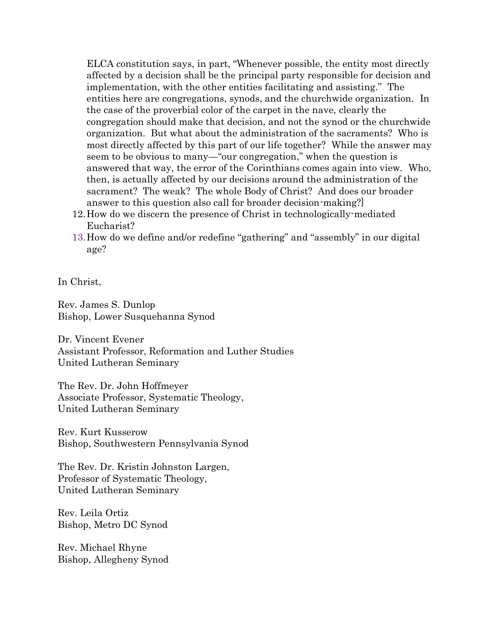ELCA constitution says, in part, "Whenever possible, the entity most directly affected by a decision shall be the principal party responsible for decision and implementation, with the other entities facilitating and assisting." The entities here are congregations, synods, and the churchwide organization. In the case of the proverbial color of the carpet in the nave, clearly the congregation should make that decision, and not the synod or the churchwide organization. But what about the administration of the sacraments? Who is most directly affected by this part of our life together? While the answer may seem to be obvious to many—"our congregation," when the question is answered that way, the error of the Corinthians comes again into view. Who, then, is actually affected by our decisions around the administration of the sacrament? The weak? The whole Body of Christ? And does our broader answer to this question also call for broader decision-making?]

- 12.How do we discern the presence of Christ in technologically-mediated Eucharist?
- 13.How do we define and/or redefine "gathering" and "assembly" in our digital age?

In Christ,

Rev. James S. Dunlop Bishop, Lower Susquehanna Synod

Dr. Vincent Evener Assistant Professor, Reformation and Luther Studies United Lutheran Seminary

The Rev. Dr. John Hoffmeyer Associate Professor, Systematic Theology, United Lutheran Seminary

Rev. Kurt Kusserow Bishop, Southwestern Pennsylvania Synod

The Rev. Dr. Kristin Johnston Largen, Professor of Systematic Theology, United Lutheran Seminary

Rev. Leila Ortiz Bishop, Metro DC Synod

Rev. Michael Rhyne Bishop, Allegheny Synod